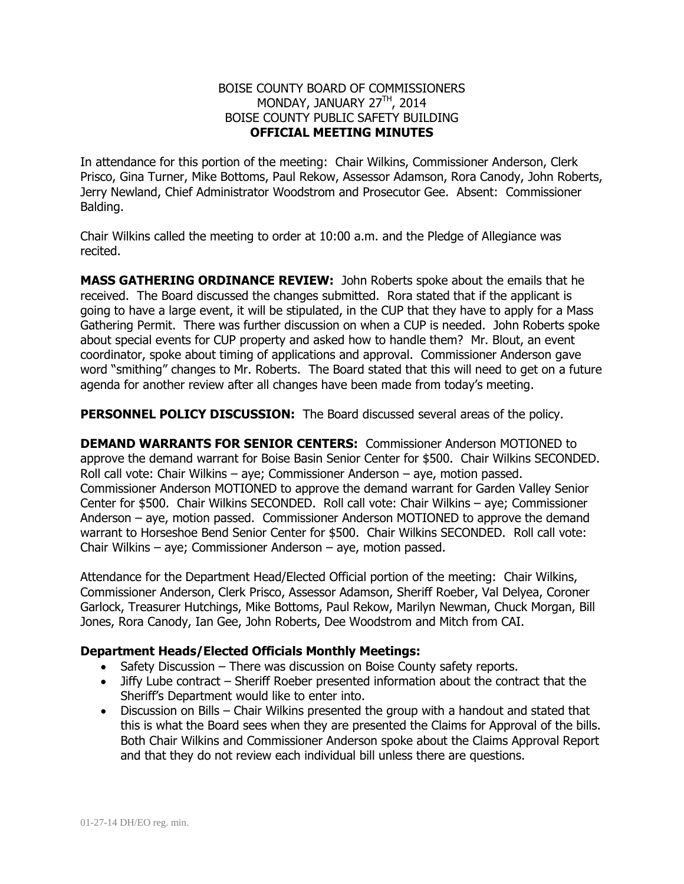## BOISE COUNTY BOARD OF COMMISSIONERS MONDAY, JANUARY 27TH, 2014 BOISE COUNTY PUBLIC SAFETY BUILDING **OFFICIAL MEETING MINUTES**

In attendance for this portion of the meeting: Chair Wilkins, Commissioner Anderson, Clerk Prisco, Gina Turner, Mike Bottoms, Paul Rekow, Assessor Adamson, Rora Canody, John Roberts, Jerry Newland, Chief Administrator Woodstrom and Prosecutor Gee. Absent: Commissioner Balding.

Chair Wilkins called the meeting to order at 10:00 a.m. and the Pledge of Allegiance was recited.

**MASS GATHERING ORDINANCE REVIEW:** John Roberts spoke about the emails that he received. The Board discussed the changes submitted. Rora stated that if the applicant is going to have a large event, it will be stipulated, in the CUP that they have to apply for a Mass Gathering Permit. There was further discussion on when a CUP is needed. John Roberts spoke about special events for CUP property and asked how to handle them? Mr. Blout, an event coordinator, spoke about timing of applications and approval. Commissioner Anderson gave word "smithing" changes to Mr. Roberts. The Board stated that this will need to get on a future agenda for another review after all changes have been made from today's meeting.

**PERSONNEL POLICY DISCUSSION:** The Board discussed several areas of the policy.

**DEMAND WARRANTS FOR SENIOR CENTERS:** Commissioner Anderson MOTIONED to approve the demand warrant for Boise Basin Senior Center for \$500. Chair Wilkins SECONDED. Roll call vote: Chair Wilkins – aye; Commissioner Anderson – aye, motion passed. Commissioner Anderson MOTIONED to approve the demand warrant for Garden Valley Senior Center for \$500. Chair Wilkins SECONDED. Roll call vote: Chair Wilkins – aye; Commissioner Anderson – aye, motion passed. Commissioner Anderson MOTIONED to approve the demand warrant to Horseshoe Bend Senior Center for \$500. Chair Wilkins SECONDED. Roll call vote: Chair Wilkins – aye; Commissioner Anderson – aye, motion passed.

Attendance for the Department Head/Elected Official portion of the meeting: Chair Wilkins, Commissioner Anderson, Clerk Prisco, Assessor Adamson, Sheriff Roeber, Val Delyea, Coroner Garlock, Treasurer Hutchings, Mike Bottoms, Paul Rekow, Marilyn Newman, Chuck Morgan, Bill Jones, Rora Canody, Ian Gee, John Roberts, Dee Woodstrom and Mitch from CAI.

## **Department Heads/Elected Officials Monthly Meetings:**

- Safety Discussion There was discussion on Boise County safety reports.
- Jiffy Lube contract Sheriff Roeber presented information about the contract that the Sheriff's Department would like to enter into.
- Discussion on Bills Chair Wilkins presented the group with a handout and stated that this is what the Board sees when they are presented the Claims for Approval of the bills. Both Chair Wilkins and Commissioner Anderson spoke about the Claims Approval Report and that they do not review each individual bill unless there are questions.